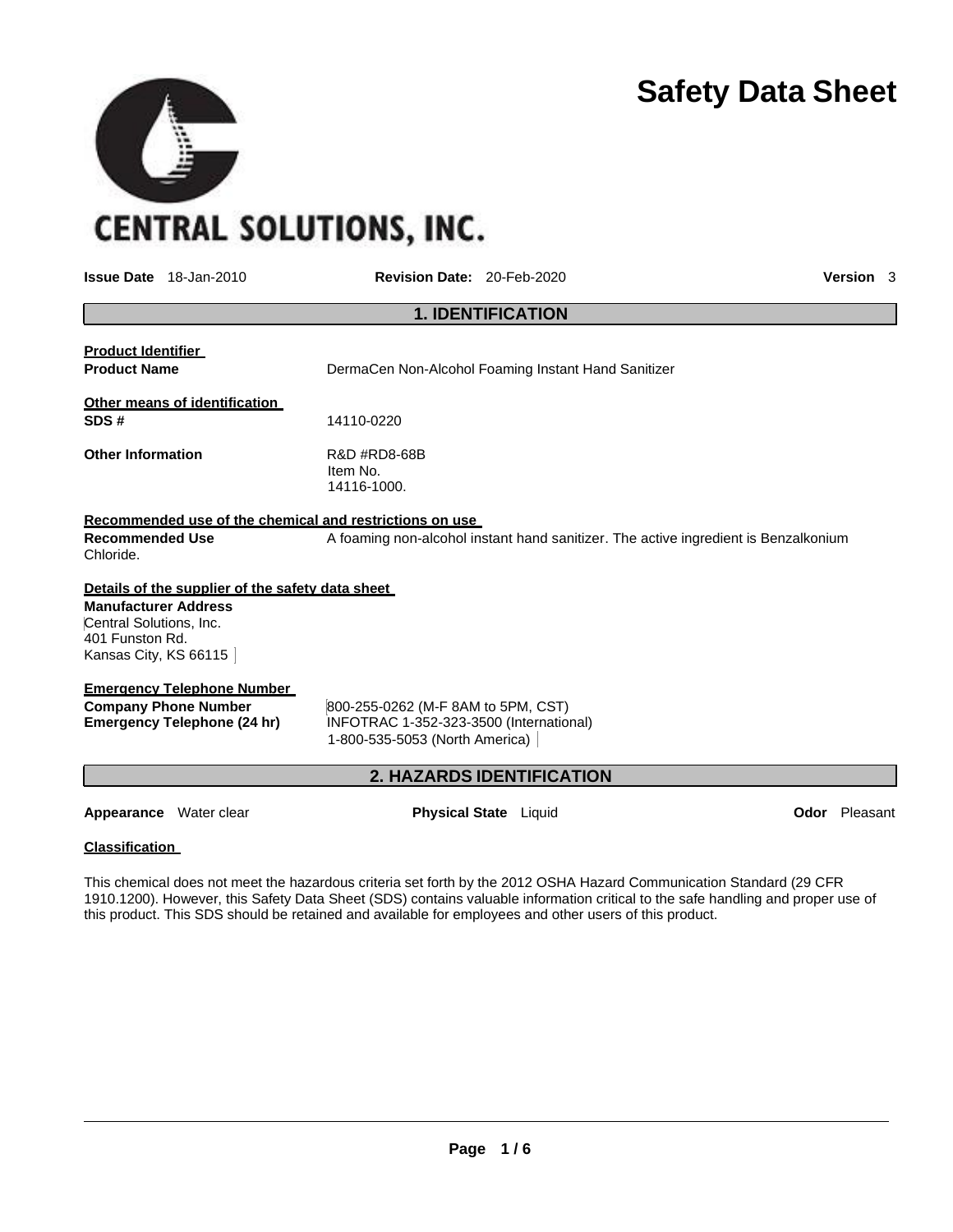

**CENTRAL SOLUTIONS, INC.** 

**SEP** 

**Interview Date:** 20-Feb-2020 **Parameters Revision Date:** 20-Feb-2020

|                                                                                                                                                        | <b>1. IDENTIFICATION</b>                                                                                        |                      |
|--------------------------------------------------------------------------------------------------------------------------------------------------------|-----------------------------------------------------------------------------------------------------------------|----------------------|
| <b>Product Identifier</b><br><b>Product Name</b>                                                                                                       | DermaCen Non-Alcohol Foaming Instant Hand Sanitizer                                                             |                      |
| Other means of identification                                                                                                                          |                                                                                                                 |                      |
| SDS#                                                                                                                                                   | 14110-0220                                                                                                      |                      |
| <b>Other Information</b>                                                                                                                               | R&D #RD8-68B<br>Item No.<br>14116-1000.                                                                         |                      |
| Recommended use of the chemical and restrictions on use                                                                                                |                                                                                                                 |                      |
| <b>Recommended Use</b><br>Chloride.                                                                                                                    | A foaming non-alcohol instant hand sanitizer. The active ingredient is Benzalkonium                             |                      |
| Details of the supplier of the safety data sheet<br><b>Manufacturer Address</b><br>Central Solutions, Inc.<br>401 Funston Rd.<br>Kansas City, KS 66115 |                                                                                                                 |                      |
| <b>Emergency Telephone Number</b>                                                                                                                      |                                                                                                                 |                      |
| <b>Company Phone Number</b><br>Emergency Telephone (24 hr)                                                                                             | 800-255-0262 (M-F 8AM to 5PM, CST)<br>INFOTRAC 1-352-323-3500 (International)<br>1-800-535-5053 (North America) |                      |
|                                                                                                                                                        | <b>2. HAZARDS IDENTIFICATION</b>                                                                                |                      |
| <b>Appearance</b> Water clear                                                                                                                          | <b>Physical State</b> Liquid                                                                                    | <b>Odor</b> Pleasant |
|                                                                                                                                                        |                                                                                                                 |                      |

This chemical does not meet the hazardous criteria set forth by the 2012 OSHA Hazard Communication Standard (29 CFR 1910.1200). However, this Safety Data Sheet (SDS) contains valuable information critical to the safe handling and proper use of this product. This SDS should be retained and available for employees and other users of this product.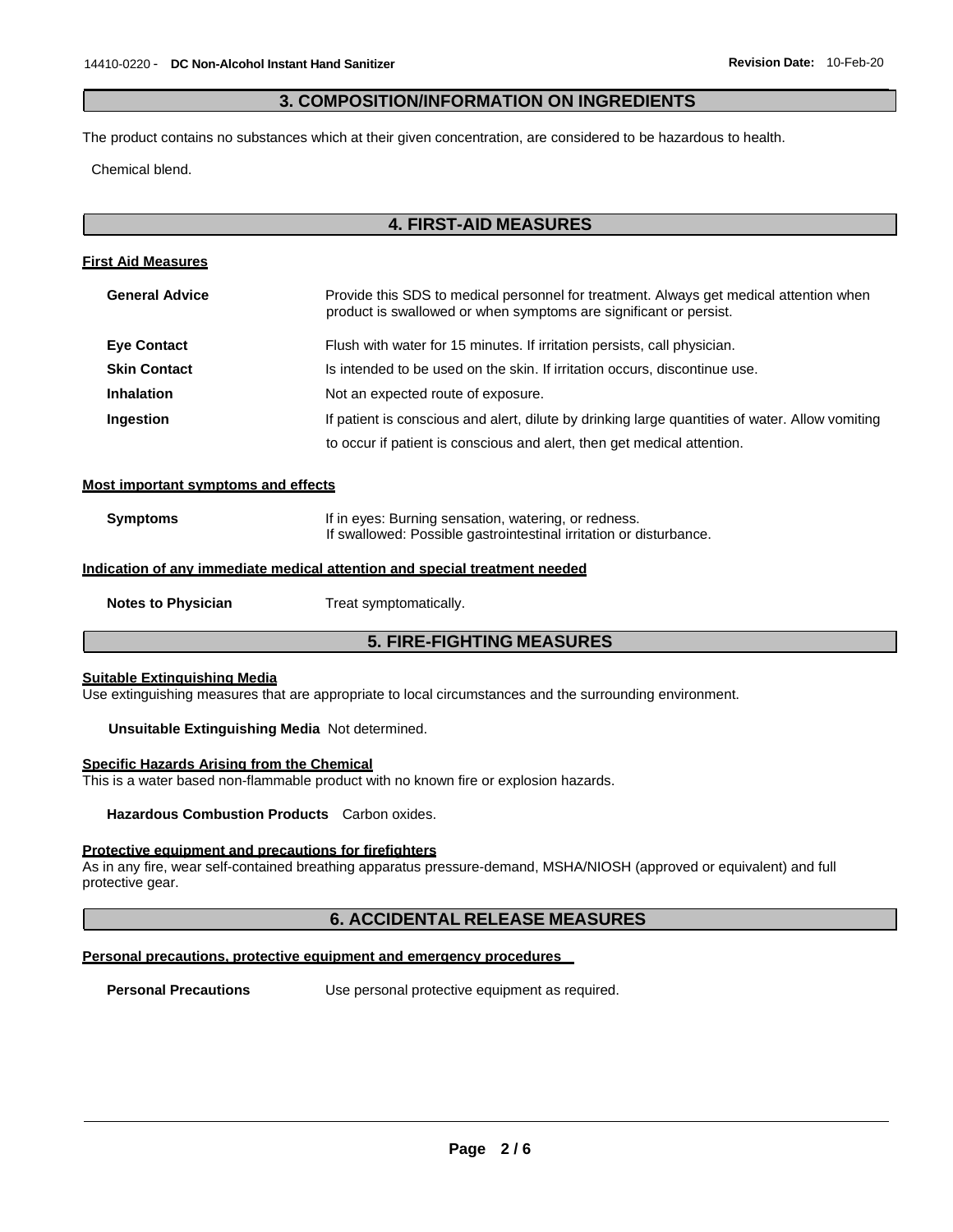## **3. COMPOSITION/INFORMATION ON INGREDIENTS**

The product contains no substances which at their given concentration, are considered to be hazardous to health.

Chemical blend.

## **4. FIRST-AID MEASURES**

#### **First Aid Measures**

| <b>General Advice</b> | Provide this SDS to medical personnel for treatment. Always get medical attention when<br>product is swallowed or when symptoms are significant or persist. |  |  |
|-----------------------|-------------------------------------------------------------------------------------------------------------------------------------------------------------|--|--|
| <b>Eye Contact</b>    | Flush with water for 15 minutes. If irritation persists, call physician.                                                                                    |  |  |
| <b>Skin Contact</b>   | Is intended to be used on the skin. If irritation occurs, discontinue use.                                                                                  |  |  |
| <b>Inhalation</b>     | Not an expected route of exposure.                                                                                                                          |  |  |
| <b>Ingestion</b>      | If patient is conscious and alert, dilute by drinking large quantities of water. Allow vomiting                                                             |  |  |
|                       | to occur if patient is conscious and alert, then get medical attention.                                                                                     |  |  |

#### **Most important symptoms and effects**

| <b>Symptoms</b> | If in eyes: Burning sensation, watering, or redness.               |  |  |
|-----------------|--------------------------------------------------------------------|--|--|
|                 | If swallowed: Possible gastrointestinal irritation or disturbance. |  |  |

## **Indication of any immediate medical attention and special treatment needed**

**Notes to Physician** Treat symptomatically.

## **5. FIRE-FIGHTING MEASURES**

## **Suitable Extinguishing Media**

Use extinguishing measures that are appropriate to local circumstances and the surrounding environment.

**Unsuitable Extinguishing Media** Not determined.

#### **Specific Hazards Arising from the Chemical**

This is a water based non-flammable product with no known fire or explosion hazards.

**Hazardous Combustion Products** Carbon oxides.

#### **Protective equipment and precautions for firefighters**

As in any fire, wear self-contained breathing apparatus pressure-demand, MSHA/NIOSH (approved or equivalent) and full protective gear.

#### **6. ACCIDENTAL RELEASE MEASURES**

#### **Personal precautions, protective equipment and emergency procedures**

**Personal Precautions** Use personal protective equipment as required.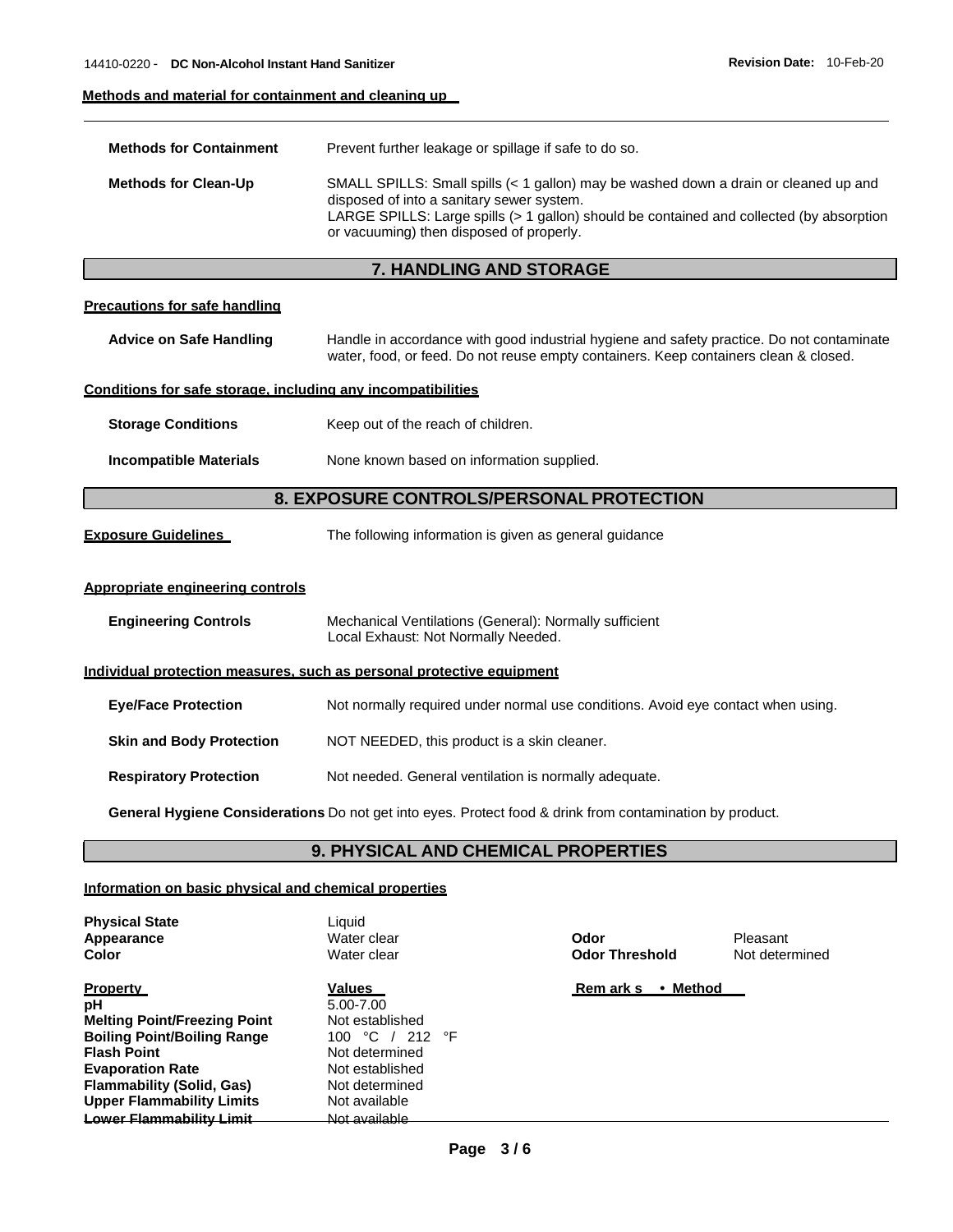## **Methods and material for containment and cleaning up**

| <b>Methods for Containment</b>                                        | Prevent further leakage or spillage if safe to do so.                                                                                                                                                                                                                     |  |  |
|-----------------------------------------------------------------------|---------------------------------------------------------------------------------------------------------------------------------------------------------------------------------------------------------------------------------------------------------------------------|--|--|
| <b>Methods for Clean-Up</b>                                           | SMALL SPILLS: Small spills (< 1 gallon) may be washed down a drain or cleaned up and<br>disposed of into a sanitary sewer system.<br>LARGE SPILLS: Large spills (> 1 gallon) should be contained and collected (by absorption<br>or vacuuming) then disposed of properly. |  |  |
|                                                                       | 7. HANDLING AND STORAGE                                                                                                                                                                                                                                                   |  |  |
| <b>Precautions for safe handling</b>                                  |                                                                                                                                                                                                                                                                           |  |  |
| <b>Advice on Safe Handling</b>                                        | Handle in accordance with good industrial hygiene and safety practice. Do not contaminate<br>water, food, or feed. Do not reuse empty containers. Keep containers clean & closed.                                                                                         |  |  |
| Conditions for safe storage, including any incompatibilities          |                                                                                                                                                                                                                                                                           |  |  |
| <b>Storage Conditions</b>                                             | Keep out of the reach of children.                                                                                                                                                                                                                                        |  |  |
| <b>Incompatible Materials</b>                                         | None known based on information supplied.                                                                                                                                                                                                                                 |  |  |
|                                                                       | 8. EXPOSURE CONTROLS/PERSONAL PROTECTION                                                                                                                                                                                                                                  |  |  |
| <b>Exposure Guidelines</b>                                            | The following information is given as general guidance                                                                                                                                                                                                                    |  |  |
| Appropriate engineering controls                                      |                                                                                                                                                                                                                                                                           |  |  |
| <b>Engineering Controls</b>                                           | Mechanical Ventilations (General): Normally sufficient<br>Local Exhaust: Not Normally Needed.                                                                                                                                                                             |  |  |
| Individual protection measures, such as personal protective equipment |                                                                                                                                                                                                                                                                           |  |  |
| <b>Eye/Face Protection</b>                                            | Not normally required under normal use conditions. Avoid eye contact when using.                                                                                                                                                                                          |  |  |
| <b>Skin and Body Protection</b>                                       | NOT NEEDED, this product is a skin cleaner.                                                                                                                                                                                                                               |  |  |
| <b>Respiratory Protection</b>                                         | Not needed. General ventilation is normally adequate.                                                                                                                                                                                                                     |  |  |

**General Hygiene Considerations** Do not get into eyes. Protect food & drink from contamination by product.

## **9. PHYSICAL AND CHEMICAL PROPERTIES**

## **Information on basic physical and chemical properties**

| <b>Physical State</b><br>Appearance<br>Color                                                                                                                                                                                                            | Liauid<br>Water clear<br>Water clear                                                                                                               | Odor<br><b>Odor Threshold</b> | Pleasant<br>Not determined |
|---------------------------------------------------------------------------------------------------------------------------------------------------------------------------------------------------------------------------------------------------------|----------------------------------------------------------------------------------------------------------------------------------------------------|-------------------------------|----------------------------|
| <b>Property</b><br>рH<br><b>Melting Point/Freezing Point</b><br><b>Boiling Point/Boiling Range</b><br><b>Flash Point</b><br><b>Evaporation Rate</b><br><b>Flammability (Solid, Gas)</b><br><b>Upper Flammability Limits</b><br>Lower Flammability Limit | Values<br>5.00-7.00<br>Not established<br>100 °C / 212 °F<br>Not determined<br>Not established<br>Not determined<br>Not available<br>Not available | Rem ark s<br>• Method         |                            |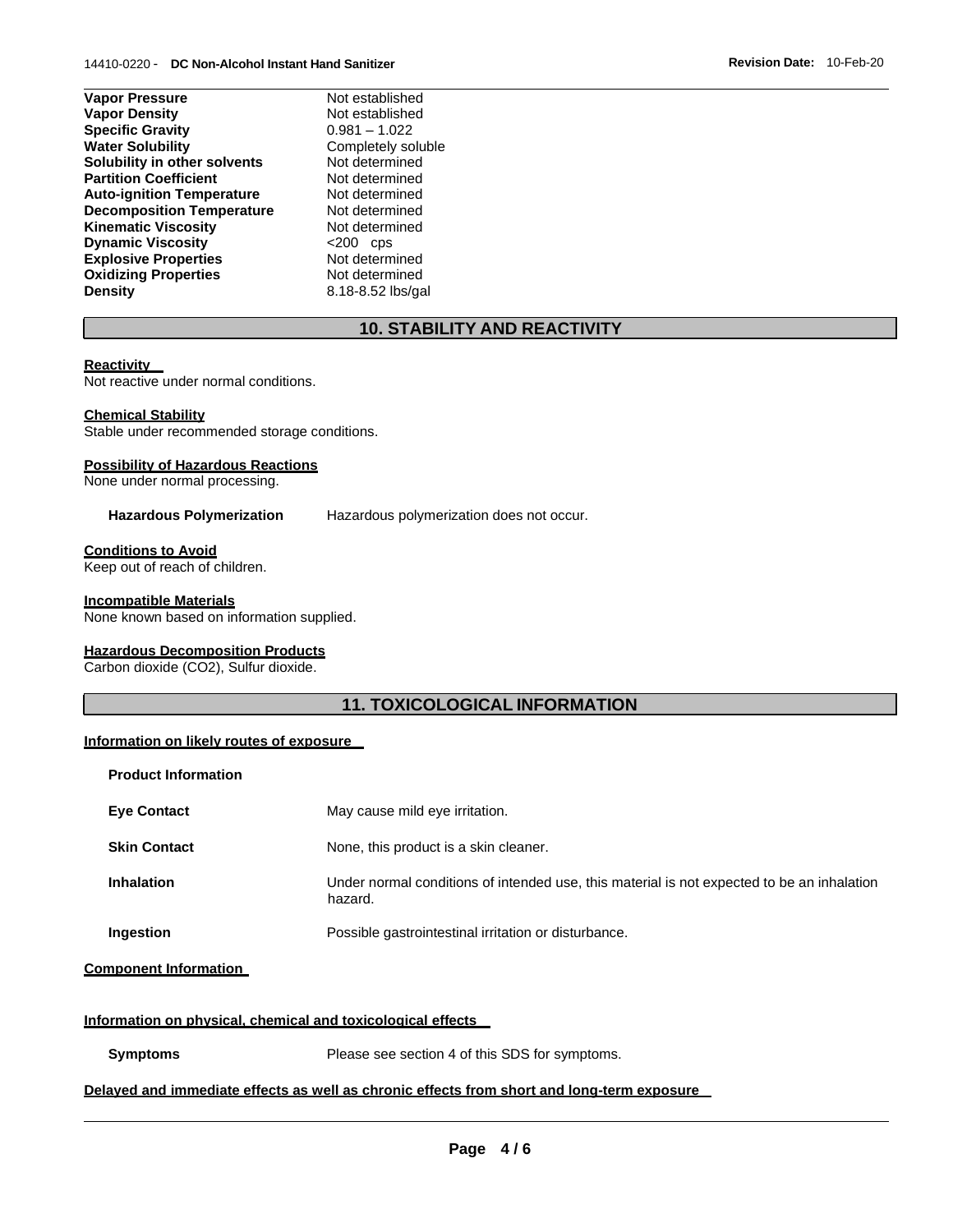| <b>Vapor Pressure</b>            | Not established    |
|----------------------------------|--------------------|
| <b>Vapor Density</b>             | Not established    |
| <b>Specific Gravity</b>          | $0.981 - 1.022$    |
| <b>Water Solubility</b>          | Completely soluble |
| Solubility in other solvents     | Not determined     |
| <b>Partition Coefficient</b>     | Not determined     |
| <b>Auto-ignition Temperature</b> | Not determined     |
| <b>Decomposition Temperature</b> | Not determined     |
| <b>Kinematic Viscosity</b>       | Not determined     |
| <b>Dynamic Viscosity</b>         | $<$ 200 cps        |
| <b>Explosive Properties</b>      | Not determined     |
| <b>Oxidizing Properties</b>      | Not determined     |
| <b>Density</b>                   | 8.18-8.52 lbs/gal  |

# **10. STABILITY AND REACTIVITY**

#### **Reactivity**

Not reactive under normal conditions.

#### **Chemical Stability**

Stable under recommended storage conditions.

#### **Possibility of Hazardous Reactions**

None under normal processing.

Hazardous Polymerization Hazardous polymerization does not occur.

## **Conditions to Avoid**

Keep out of reach of children.

#### **Incompatible Materials**

None known based on information supplied.

#### **Hazardous Decomposition Products**

Carbon dioxide (CO2), Sulfur dioxide.

## **11. TOXICOLOGICAL INFORMATION**

#### **Information on likely routes of exposure**

| <b>Product Information</b>   |                                                                                                       |
|------------------------------|-------------------------------------------------------------------------------------------------------|
| <b>Eye Contact</b>           | May cause mild eye irritation.                                                                        |
| <b>Skin Contact</b>          | None, this product is a skin cleaner.                                                                 |
| <b>Inhalation</b>            | Under normal conditions of intended use, this material is not expected to be an inhalation<br>hazard. |
| Ingestion                    | Possible gastrointestinal irritation or disturbance.                                                  |
| <b>Component Information</b> |                                                                                                       |

#### **Information on physical, chemical and toxicological effects**

**Symptoms** Please see section 4 of this SDS for symptoms.

#### **Delayed and immediate effects as well as chronic effects from short and long-term exposure**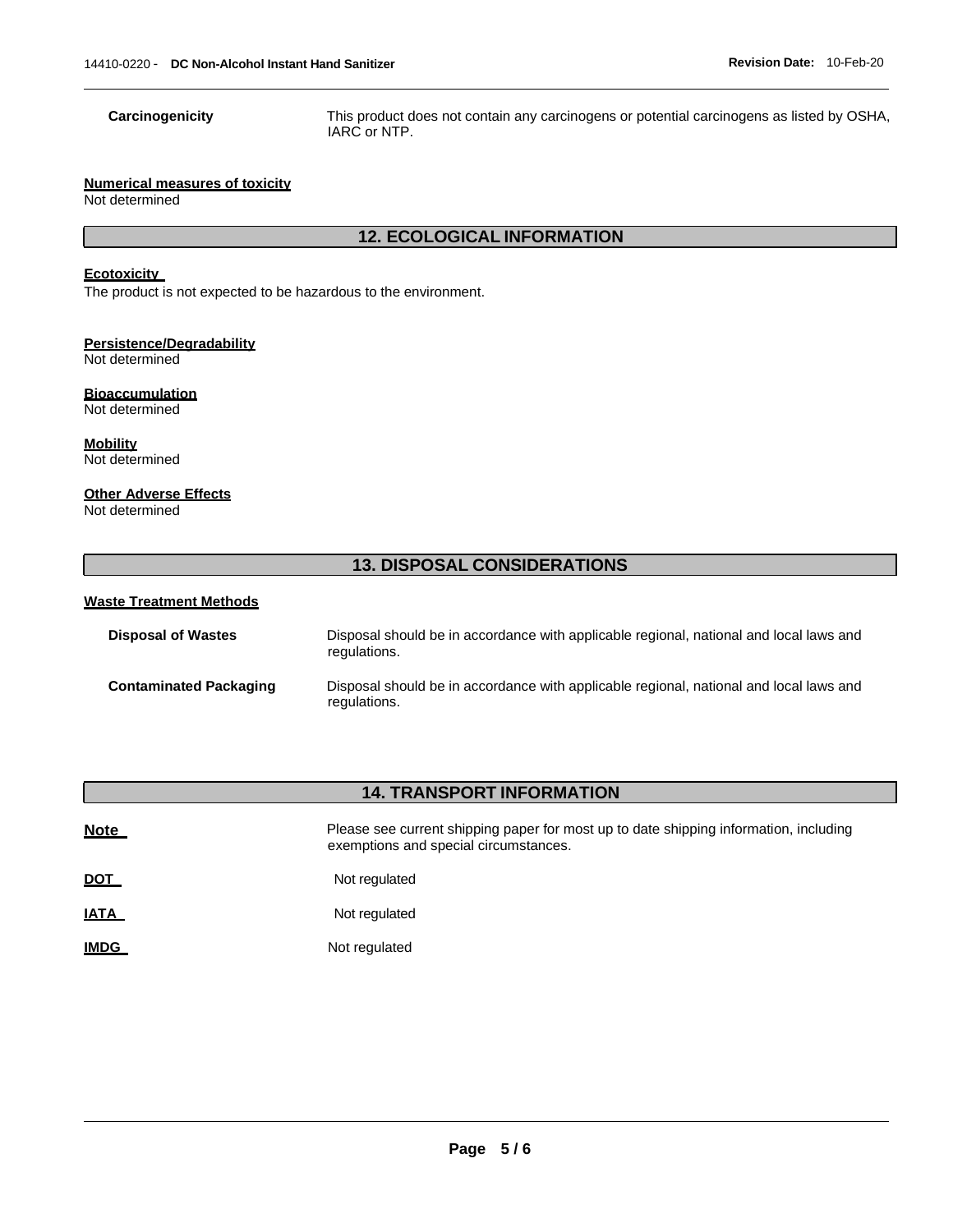**Carcinogenicity** This product does not contain any carcinogens or potential carcinogens as listed by OSHA, IARC or NTP.

#### **Numerical measures of toxicity**

Not determined

## **12. ECOLOGICAL INFORMATION**

## **Ecotoxicity**

The product is not expected to be hazardous to the environment.

## **Persistence/Degradability**

Not determined

## **Bioaccumulation**

Not determined

**Mobility** Not determined

### **Other Adverse Effects**

Not determined

# **13. DISPOSAL CONSIDERATIONS**

#### **Waste Treatment Methods**

| <b>Disposal of Wastes</b>     | Disposal should be in accordance with applicable regional, national and local laws and<br>regulations. |
|-------------------------------|--------------------------------------------------------------------------------------------------------|
| <b>Contaminated Packaging</b> | Disposal should be in accordance with applicable regional, national and local laws and<br>regulations. |

# **14. TRANSPORT INFORMATION**

| <b>Note</b> | Please see current shipping paper for most up to date shipping information, including<br>exemptions and special circumstances. |
|-------------|--------------------------------------------------------------------------------------------------------------------------------|
| <u>DOT</u>  | Not regulated                                                                                                                  |
| <u>IATA</u> | Not regulated                                                                                                                  |
| <b>IMDG</b> | Not regulated                                                                                                                  |